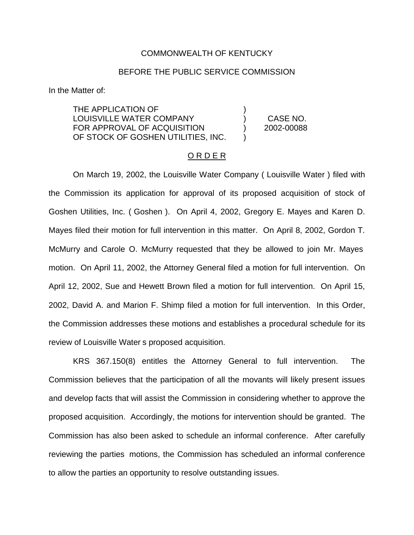## COMMONWEALTH OF KENTUCKY

## BEFORE THE PUBLIC SERVICE COMMISSION

In the Matter of:

THE APPLICATION OF  $( )$ LOUISVILLE WATER COMPANY ) CASE NO. FOR APPROVAL OF ACQUISITION (2002-00088) OF STOCK OF GOSHEN UTILITIES, INC.

#### O R D E R

On March 19, 2002, the Louisville Water Company ( Louisville Water ) filed with the Commission its application for approval of its proposed acquisition of stock of Goshen Utilities, Inc. ( Goshen ). On April 4, 2002, Gregory E. Mayes and Karen D. Mayes filed their motion for full intervention in this matter. On April 8, 2002, Gordon T. McMurry and Carole O. McMurry requested that they be allowed to join Mr. Mayes motion. On April 11, 2002, the Attorney General filed a motion for full intervention. On April 12, 2002, Sue and Hewett Brown filed a motion for full intervention. On April 15, 2002, David A. and Marion F. Shimp filed a motion for full intervention. In this Order, the Commission addresses these motions and establishes a procedural schedule for its review of Louisville Water s proposed acquisition.

KRS 367.150(8) entitles the Attorney General to full intervention. The Commission believes that the participation of all the movants will likely present issues and develop facts that will assist the Commission in considering whether to approve the proposed acquisition. Accordingly, the motions for intervention should be granted. The Commission has also been asked to schedule an informal conference. After carefully reviewing the parties motions, the Commission has scheduled an informal conference to allow the parties an opportunity to resolve outstanding issues.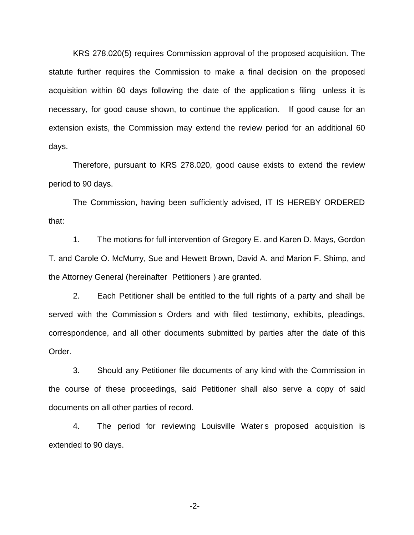KRS 278.020(5) requires Commission approval of the proposed acquisition. The statute further requires the Commission to make a final decision on the proposed acquisition within 60 days following the date of the application s filing unless it is necessary, for good cause shown, to continue the application. If good cause for an extension exists, the Commission may extend the review period for an additional 60 days.

Therefore, pursuant to KRS 278.020, good cause exists to extend the review period to 90 days.

The Commission, having been sufficiently advised, IT IS HEREBY ORDERED that:

1. The motions for full intervention of Gregory E. and Karen D. Mays, Gordon T. and Carole O. McMurry, Sue and Hewett Brown, David A. and Marion F. Shimp, and the Attorney General (hereinafter Petitioners ) are granted.

2. Each Petitioner shall be entitled to the full rights of a party and shall be served with the Commission s Orders and with filed testimony, exhibits, pleadings, correspondence, and all other documents submitted by parties after the date of this Order.

3. Should any Petitioner file documents of any kind with the Commission in the course of these proceedings, said Petitioner shall also serve a copy of said documents on all other parties of record.

4. The period for reviewing Louisville Water s proposed acquisition is extended to 90 days.

-2-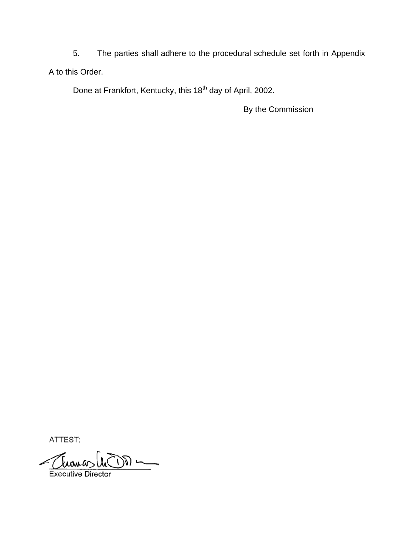5. The parties shall adhere to the procedural schedule set forth in Appendix A to this Order.

Done at Frankfort, Kentucky, this 18<sup>th</sup> day of April, 2002.

By the Commission

ATTEST:

Tuana  $\overline{\phantom{a}}$ 川一 **Executive Director**